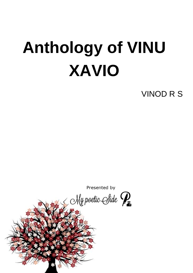# **Anthology of VINU XAVIO**

VINOD R S

Presented by

My poetic Side  $\mathcal{P}_{\scriptscriptstyle{\overline{\bullet}}}$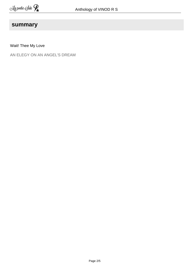#### **summary**

Wait! Thee My Love

AN ELEGY ON AN ANGEL'S DREAM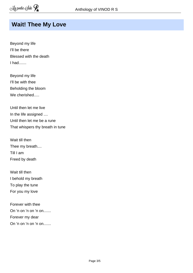#### **Wait! Thee My Love**

Beyond my life I'll be there Blessed with the death I had.......

Beyond my life I'll be with thee Beholding the bloom We cherished.....

Until then let me live In the life assigned .... Until then let me be a rune That whispers thy breath in tune

Wait till then Thee my breath.... Till I am Freed by death

Wait till then I behold my breath To play the tune For you my love

Forever with thee On 'n on 'n on 'n on....... Forever my dear On 'n on 'n on 'n on.......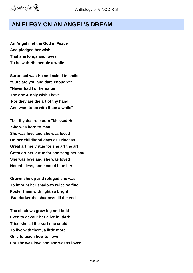### **AN ELEGY ON AN ANGEL'S DREAM**

**An Angel met the God in Peace And pledged her wish That she longs and loves To be with His people a while**

**Surprised was He and asked in smile "Sure are you and dare enough?" "Never had I or hereafter The one & only wish I have For they are the art of thy hand And want to be with them a while"**

**"Let thy desire bloom "blessed He She was born to man She was love and she was loved On her childhood days as Princess Great art her virtue for she art the art Great art her virtue for she sang her soul She was love and she was loved Nonetheless, none could hate her**

**Grown she up and refuged she was To imprint her shadows twice so fine Foster them with light so bright But darker the shadows till the end**

**The shadows grew big and bold Even to devour her alive in dark Tried she all the sort she could To live with them, a little more Only to teach how to love For she was love and she wasn't loved**